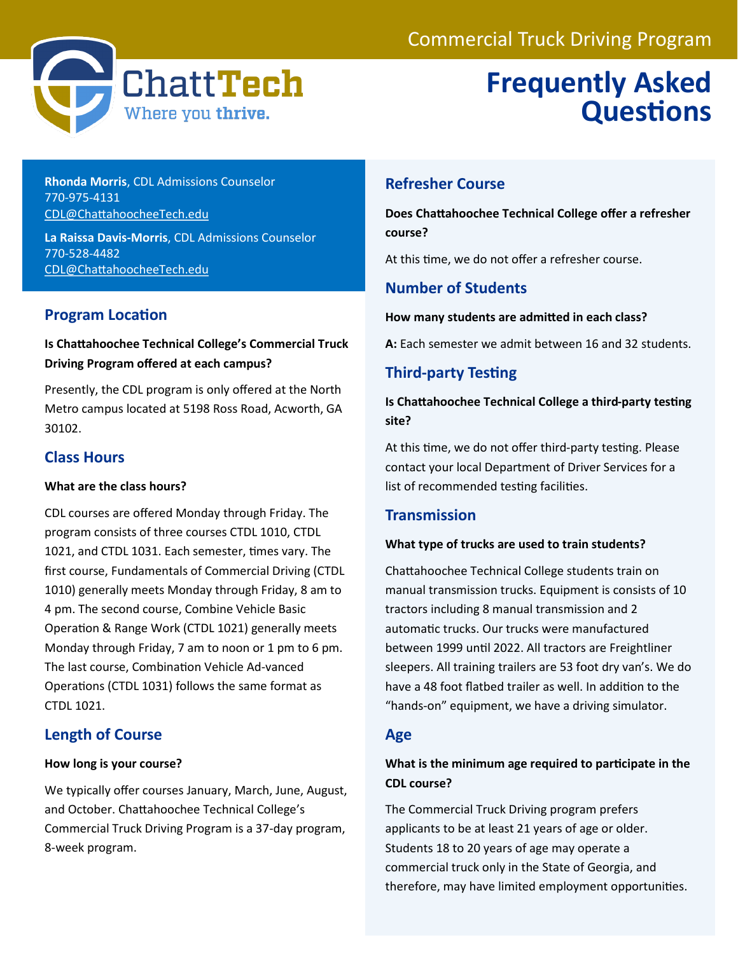

# **Frequently Asked Questions**

**Rhonda Morris**, CDL Admissions Counselor 770-975-4131 [CDL@ChattahoocheeTech.edu](mailto:CDL@ChattahoocheeTech.edu)

**La Raissa Davis-Morris**, CDL Admissions Counselor 770-528-4482 [CDL@ChattahoocheeTech.edu](mailto:CDL@ChattahoocheeTech.edu)

## **Program Location**

## **Is Chattahoochee Technical College's Commercial Truck Driving Program offered at each campus?**

Presently, the CDL program is only offered at the North Metro campus located at 5198 Ross Road, Acworth, GA 30102.

## **Class Hours**

#### **What are the class hours?**

CDL courses are offered Monday through Friday. The program consists of three courses CTDL 1010, CTDL 1021, and CTDL 1031. Each semester, times vary. The first course, Fundamentals of Commercial Driving (CTDL 1010) generally meets Monday through Friday, 8 am to 4 pm. The second course, Combine Vehicle Basic Operation & Range Work (CTDL 1021) generally meets Monday through Friday, 7 am to noon or 1 pm to 6 pm. The last course, Combination Vehicle Ad-vanced Operations (CTDL 1031) follows the same format as CTDL 1021.

## **Length of Course**

#### **How long is your course?**

We typically offer courses January, March, June, August, and October. Chattahoochee Technical College's Commercial Truck Driving Program is a 37-day program, 8-week program.

## **Refresher Course**

**Does Chattahoochee Technical College offer a refresher course?** 

At this time, we do not offer a refresher course.

## **Number of Students**

#### **How many students are admitted in each class?**

**A:** Each semester we admit between 16 and 32 students.

## **Third-party Testing**

## **Is Chattahoochee Technical College a third-party testing site?**

At this time, we do not offer third-party testing. Please contact your local Department of Driver Services for a list of recommended testing facilities.

## **Transmission**

#### **What type of trucks are used to train students?**

Chattahoochee Technical College students train on manual transmission trucks. Equipment is consists of 10 tractors including 8 manual transmission and 2 automatic trucks. Our trucks were manufactured between 1999 until 2022. All tractors are Freightliner sleepers. All training trailers are 53 foot dry van's. We do have a 48 foot flatbed trailer as well. In addition to the "hands-on" equipment, we have a driving simulator.

## **Age**

## **What is the minimum age required to participate in the CDL course?**

The Commercial Truck Driving program prefers applicants to be at least 21 years of age or older. Students 18 to 20 years of age may operate a commercial truck only in the State of Georgia, and therefore, may have limited employment opportunities.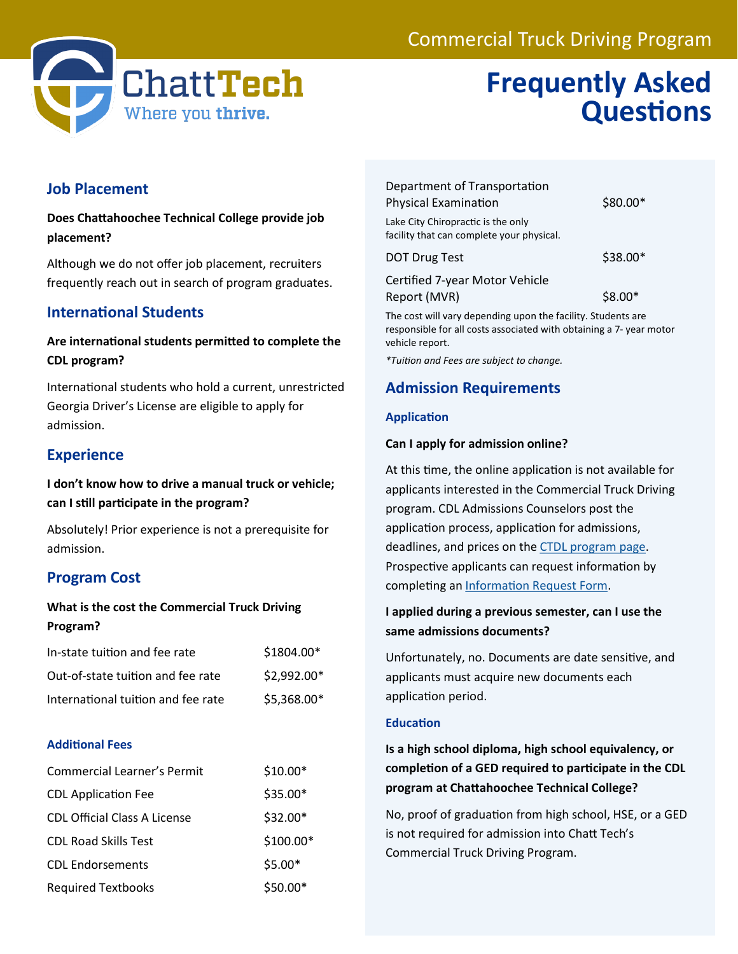## Commercial Truck Driving Program



## **Frequently Asked Questions**

## **Job Placement**

**Does Chattahoochee Technical College provide job placement?** 

Although we do not offer job placement, recruiters frequently reach out in search of program graduates.

## **International Students**

## **Are international students permitted to complete the CDL program?**

International students who hold a current, unrestricted Georgia Driver's License are eligible to apply for admission.

## **Experience**

**I don't know how to drive a manual truck or vehicle; can I still participate in the program?** 

Absolutely! Prior experience is not a prerequisite for admission.

## **Program Cost**

## **What is the cost the Commercial Truck Driving Program?**

| In-state tuition and fee rate      | \$1804.00*  |
|------------------------------------|-------------|
| Out-of-state tuition and fee rate  | \$2,992.00* |
| International tuition and fee rate | \$5,368.00* |

#### **Additional Fees**

| <b>Commercial Learner's Permit</b>  | $$10.00*$  |
|-------------------------------------|------------|
| <b>CDL Application Fee</b>          | \$35.00*   |
| <b>CDL Official Class A License</b> | \$32.00*   |
| <b>CDL Road Skills Test</b>         | $$100.00*$ |
| <b>CDL Endorsements</b>             | $$5.00*$   |
| <b>Required Textbooks</b>           | $$50.00*$  |

| Department of Transportation<br><b>Physical Examination</b>                     | \$80.00* |
|---------------------------------------------------------------------------------|----------|
| Lake City Chiropractic is the only<br>facility that can complete your physical. |          |
| <b>DOT Drug Test</b>                                                            | \$38.00* |
| Certified 7-year Motor Vehicle<br>Report (MVR)                                  | $$8.00*$ |

The cost will vary depending upon the facility. Students are responsible for all costs associated with obtaining a 7- year motor vehicle report.

*\*Tuition and Fees are subject to change.* 

## **Admission Requirements**

#### **Application**

#### **Can I apply for admission online?**

At this time, the online application is not available for applicants interested in the Commercial Truck Driving program. CDL Admissions Counselors post the application process, application for admissions, deadlines, and prices on the [CTDL program page.](https://www.chattahoocheetech.edu/commercial-truck-driving/)  Prospective applicants can request information by completing an [Information Request Form.](https://www.chattahoocheetech.edu/commercial-truck-driving/)

#### **I applied during a previous semester, can I use the same admissions documents?**

Unfortunately, no. Documents are date sensitive, and applicants must acquire new documents each application period.

#### **Education**

**Is a high school diploma, high school equivalency, or completion of a GED required to participate in the CDL program at Chattahoochee Technical College?** 

No, proof of graduation from high school, HSE, or a GED is not required for admission into Chatt Tech's Commercial Truck Driving Program.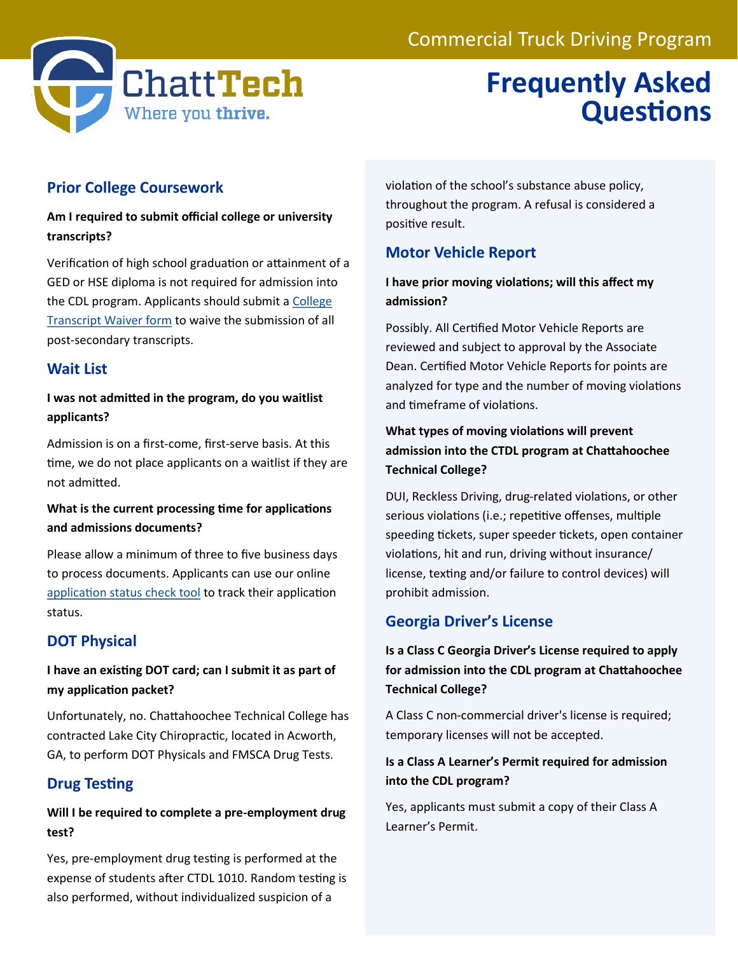

## **Frequently Asked Questions**

## **Prior College Coursework**

## **Am I required to submit official college or university transcripts?**

Verification of high school graduation or attainment of a GED or HSE diploma is not required for admission into the CDL program. Applicants should submit a [College](https://www.chattahoocheetech.edu/college-transcript-waiver-form/)  [Transcript Waiver form](https://www.chattahoocheetech.edu/college-transcript-waiver-form/) to waive the submission of all post-secondary transcripts.

## **Wait List**

## **I was not admitted in the program, do you waitlist applicants?**

Admission is on a first-come, first-serve basis. At this time, we do not place applicants on a waitlist if they are not admitted.

## **What is the current processing time for applications and admissions documents?**

Please allow a minimum of three to five business days to process documents. Applicants can use our online [application status check tool](https://www.chattahoocheetech.edu/check-your-admissions-status/) to track their application status.

## **DOT Physical**

## **I have an existing DOT card; can I submit it as part of my application packet?**

Unfortunately, no. Chattahoochee Technical College has contracted Lake City Chiropractic, located in Acworth, GA, to perform DOT Physicals and FMSCA Drug Tests.

## **Drug Testing**

## **Will I be required to complete a pre-employment drug test?**

Yes, pre-employment drug testing is performed at the expense of students after CTDL 1010. Random testing is also performed, without individualized suspicion of a

violation of the school's substance abuse policy, throughout the program. A refusal is considered a positive result.

## **Motor Vehicle Report**

## **I have prior moving violations; will this affect my admission?**

Possibly. All Certified Motor Vehicle Reports are reviewed and subject to approval by the Associate Dean. Certified Motor Vehicle Reports for points are analyzed for type and the number of moving violations and timeframe of violations.

## **What types of moving violations will prevent admission into the CTDL program at Chattahoochee Technical College?**

DUI, Reckless Driving, drug-related violations, or other serious violations (i.e.; repetitive offenses, multiple speeding tickets, super speeder tickets, open container violations, hit and run, driving without insurance/ license, texting and/or failure to control devices) will prohibit admission.

## **Georgia Driver's License**

**Is a Class C Georgia Driver's License required to apply for admission into the CDL program at Chattahoochee Technical College?** 

A Class C non-commercial driver's license is required; temporary licenses will not be accepted.

## **Is a Class A Learner's Permit required for admission into the CDL program?**

Yes, applicants must submit a copy of their Class A Learner's Permit.